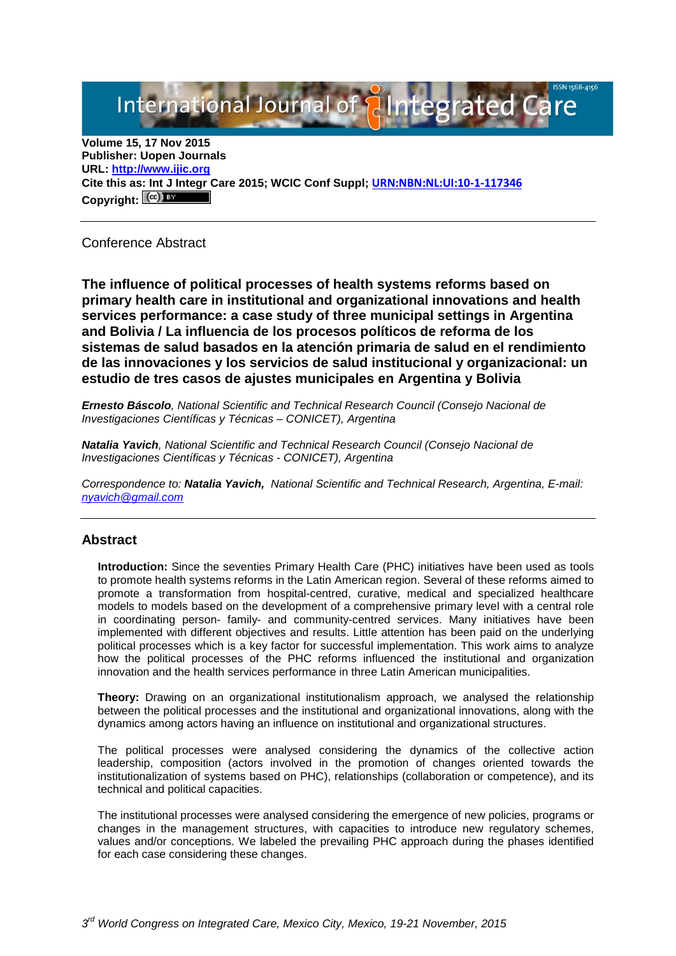# International Journal of **Plntegrated Ca**

**Volume 15, 17 Nov 2015 Publisher: Uopen Journals URL: [http://www.ijic.org](http://www.ijic.org/) Cite this as: Int J Integr Care 2015; WCIC Conf Suppl; [URN:NBN:NL:UI:10-1-117346](http://persistent-identifier.nl/?identifier=URN:NBN:NL:UI:10-1-117346)** Copyright:  $(cc)$ 

Conference Abstract

**The influence of political processes of health systems reforms based on primary health care in institutional and organizational innovations and health services performance: a case study of three municipal settings in Argentina and Bolivia / La influencia de los procesos políticos de reforma de los sistemas de salud basados en la atención primaria de salud en el rendimiento de las innovaciones y los servicios de salud institucional y organizacional: un estudio de tres casos de ajustes municipales en Argentina y Bolivia**

*Ernesto Báscolo, National Scientific and Technical Research Council (Consejo Nacional de Investigaciones Científicas y Técnicas – CONICET), Argentina*

*Natalia Yavich, National Scientific and Technical Research Council (Consejo Nacional de Investigaciones Científicas y Técnicas - CONICET), Argentina* 

*Correspondence to: Natalia Yavich, National Scientific and Technical Research, Argentina, E-mail: [nyavich@gmail.com](mailto:nyavich@gmail.com)*

## **Abstract**

**Introduction:** Since the seventies Primary Health Care (PHC) initiatives have been used as tools to promote health systems reforms in the Latin American region. Several of these reforms aimed to promote a transformation from hospital-centred, curative, medical and specialized healthcare models to models based on the development of a comprehensive primary level with a central role in coordinating person- family- and community-centred services. Many initiatives have been implemented with different objectives and results. Little attention has been paid on the underlying political processes which is a key factor for successful implementation. This work aims to analyze how the political processes of the PHC reforms influenced the institutional and organization innovation and the health services performance in three Latin American municipalities.

**Theory:** Drawing on an organizational institutionalism approach, we analysed the relationship between the political processes and the institutional and organizational innovations, along with the dynamics among actors having an influence on institutional and organizational structures.

The political processes were analysed considering the dynamics of the collective action leadership, composition (actors involved in the promotion of changes oriented towards the institutionalization of systems based on PHC), relationships (collaboration or competence), and its technical and political capacities.

The institutional processes were analysed considering the emergence of new policies, programs or changes in the management structures, with capacities to introduce new regulatory schemes, values and/or conceptions. We labeled the prevailing PHC approach during the phases identified for each case considering these changes.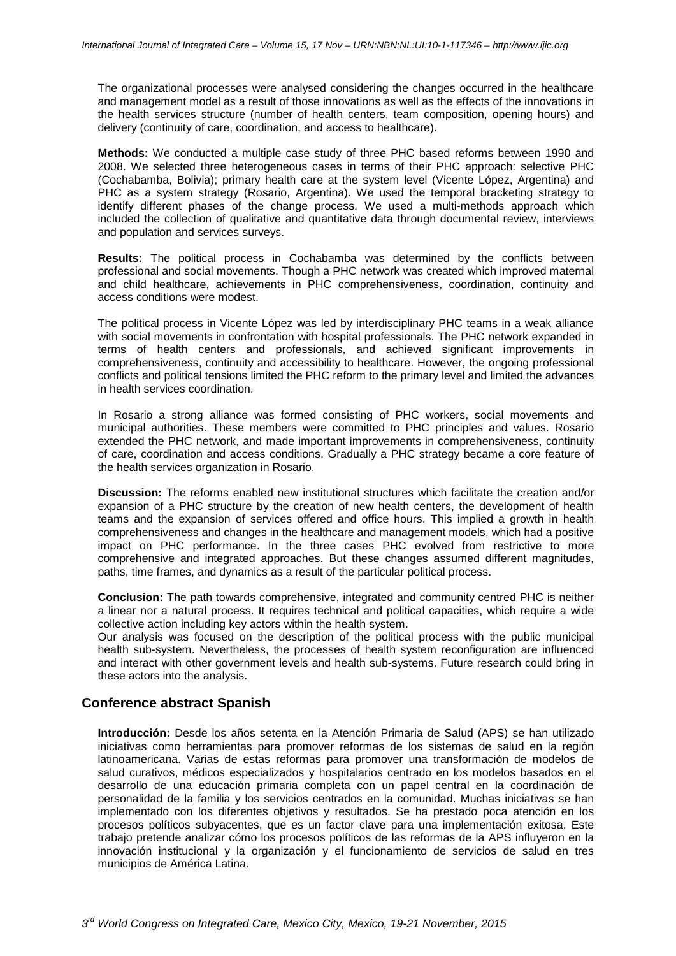The organizational processes were analysed considering the changes occurred in the healthcare and management model as a result of those innovations as well as the effects of the innovations in the health services structure (number of health centers, team composition, opening hours) and delivery (continuity of care, coordination, and access to healthcare).

**Methods:** We conducted a multiple case study of three PHC based reforms between 1990 and 2008. We selected three heterogeneous cases in terms of their PHC approach: selective PHC (Cochabamba, Bolivia); primary health care at the system level (Vicente López, Argentina) and PHC as a system strategy (Rosario, Argentina). We used the temporal bracketing strategy to identify different phases of the change process. We used a multi-methods approach which included the collection of qualitative and quantitative data through documental review, interviews and population and services surveys.

**Results:** The political process in Cochabamba was determined by the conflicts between professional and social movements. Though a PHC network was created which improved maternal and child healthcare, achievements in PHC comprehensiveness, coordination, continuity and access conditions were modest.

The political process in Vicente López was led by interdisciplinary PHC teams in a weak alliance with social movements in confrontation with hospital professionals. The PHC network expanded in terms of health centers and professionals, and achieved significant improvements in comprehensiveness, continuity and accessibility to healthcare. However, the ongoing professional conflicts and political tensions limited the PHC reform to the primary level and limited the advances in health services coordination.

In Rosario a strong alliance was formed consisting of PHC workers, social movements and municipal authorities. These members were committed to PHC principles and values. Rosario extended the PHC network, and made important improvements in comprehensiveness, continuity of care, coordination and access conditions. Gradually a PHC strategy became a core feature of the health services organization in Rosario.

**Discussion:** The reforms enabled new institutional structures which facilitate the creation and/or expansion of a PHC structure by the creation of new health centers, the development of health teams and the expansion of services offered and office hours. This implied a growth in health comprehensiveness and changes in the healthcare and management models, which had a positive impact on PHC performance. In the three cases PHC evolved from restrictive to more comprehensive and integrated approaches. But these changes assumed different magnitudes, paths, time frames, and dynamics as a result of the particular political process.

**Conclusion:** The path towards comprehensive, integrated and community centred PHC is neither a linear nor a natural process. It requires technical and political capacities, which require a wide collective action including key actors within the health system.

Our analysis was focused on the description of the political process with the public municipal health sub-system. Nevertheless, the processes of health system reconfiguration are influenced and interact with other government levels and health sub-systems. Future research could bring in these actors into the analysis.

## **Conference abstract Spanish**

**Introducción:** Desde los años setenta en la Atención Primaria de Salud (APS) se han utilizado iniciativas como herramientas para promover reformas de los sistemas de salud en la región latinoamericana. Varias de estas reformas para promover una transformación de modelos de salud curativos, médicos especializados y hospitalarios centrado en los modelos basados en el desarrollo de una educación primaria completa con un papel central en la coordinación de personalidad de la familia y los servicios centrados en la comunidad. Muchas iniciativas se han implementado con los diferentes objetivos y resultados. Se ha prestado poca atención en los procesos políticos subyacentes, que es un factor clave para una implementación exitosa. Este trabajo pretende analizar cómo los procesos políticos de las reformas de la APS influyeron en la innovación institucional y la organización y el funcionamiento de servicios de salud en tres municipios de América Latina.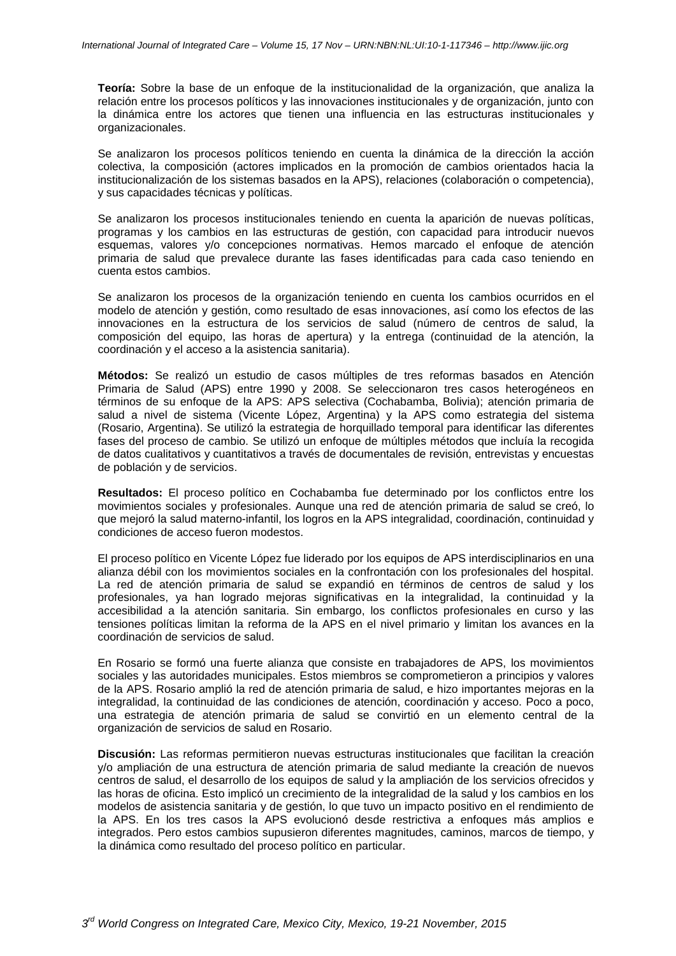**Teoría:** Sobre la base de un enfoque de la institucionalidad de la organización, que analiza la relación entre los procesos políticos y las innovaciones institucionales y de organización, junto con la dinámica entre los actores que tienen una influencia en las estructuras institucionales y organizacionales.

Se analizaron los procesos políticos teniendo en cuenta la dinámica de la dirección la acción colectiva, la composición (actores implicados en la promoción de cambios orientados hacia la institucionalización de los sistemas basados en la APS), relaciones (colaboración o competencia), y sus capacidades técnicas y políticas.

Se analizaron los procesos institucionales teniendo en cuenta la aparición de nuevas políticas, programas y los cambios en las estructuras de gestión, con capacidad para introducir nuevos esquemas, valores y/o concepciones normativas. Hemos marcado el enfoque de atención primaria de salud que prevalece durante las fases identificadas para cada caso teniendo en cuenta estos cambios.

Se analizaron los procesos de la organización teniendo en cuenta los cambios ocurridos en el modelo de atención y gestión, como resultado de esas innovaciones, así como los efectos de las innovaciones en la estructura de los servicios de salud (número de centros de salud, la composición del equipo, las horas de apertura) y la entrega (continuidad de la atención, la coordinación y el acceso a la asistencia sanitaria).

**Métodos:** Se realizó un estudio de casos múltiples de tres reformas basados en Atención Primaria de Salud (APS) entre 1990 y 2008. Se seleccionaron tres casos heterogéneos en términos de su enfoque de la APS: APS selectiva (Cochabamba, Bolivia); atención primaria de salud a nivel de sistema (Vicente López, Argentina) y la APS como estrategia del sistema (Rosario, Argentina). Se utilizó la estrategia de horquillado temporal para identificar las diferentes fases del proceso de cambio. Se utilizó un enfoque de múltiples métodos que incluía la recogida de datos cualitativos y cuantitativos a través de documentales de revisión, entrevistas y encuestas de población y de servicios.

**Resultados:** El proceso político en Cochabamba fue determinado por los conflictos entre los movimientos sociales y profesionales. Aunque una red de atención primaria de salud se creó, lo que mejoró la salud materno-infantil, los logros en la APS integralidad, coordinación, continuidad y condiciones de acceso fueron modestos.

El proceso político en Vicente López fue liderado por los equipos de APS interdisciplinarios en una alianza débil con los movimientos sociales en la confrontación con los profesionales del hospital. La red de atención primaria de salud se expandió en términos de centros de salud y los profesionales, ya han logrado mejoras significativas en la integralidad, la continuidad y la accesibilidad a la atención sanitaria. Sin embargo, los conflictos profesionales en curso y las tensiones políticas limitan la reforma de la APS en el nivel primario y limitan los avances en la coordinación de servicios de salud.

En Rosario se formó una fuerte alianza que consiste en trabajadores de APS, los movimientos sociales y las autoridades municipales. Estos miembros se comprometieron a principios y valores de la APS. Rosario amplió la red de atención primaria de salud, e hizo importantes mejoras en la integralidad, la continuidad de las condiciones de atención, coordinación y acceso. Poco a poco, una estrategia de atención primaria de salud se convirtió en un elemento central de la organización de servicios de salud en Rosario.

**Discusión:** Las reformas permitieron nuevas estructuras institucionales que facilitan la creación y/o ampliación de una estructura de atención primaria de salud mediante la creación de nuevos centros de salud, el desarrollo de los equipos de salud y la ampliación de los servicios ofrecidos y las horas de oficina. Esto implicó un crecimiento de la integralidad de la salud y los cambios en los modelos de asistencia sanitaria y de gestión, lo que tuvo un impacto positivo en el rendimiento de la APS. En los tres casos la APS evolucionó desde restrictiva a enfoques más amplios e integrados. Pero estos cambios supusieron diferentes magnitudes, caminos, marcos de tiempo, y la dinámica como resultado del proceso político en particular.